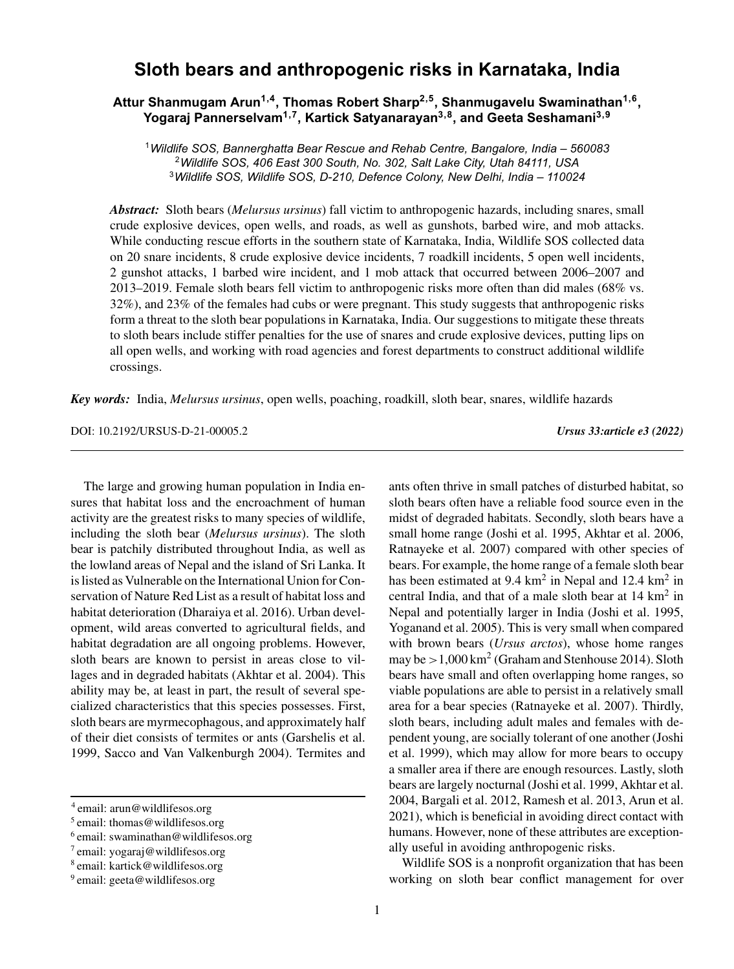# **Sloth bears and anthropogenic risks in Karnataka, India**

## **Attur Shanmugam Arun1,4, Thomas Robert Sharp2,5, Shanmugavelu Swaminathan1,6, Yogaraj Pannerselvam1,7, Kartick Satyanarayan3,8, and Geeta Seshamani3,9**

<sup>1</sup>*Wildlife SOS, Bannerghatta Bear Rescue and Rehab Centre, Bangalore, India – 560083* <sup>2</sup>*Wildlife SOS, 406 East 300 South, No. 302, Salt Lake City, Utah 84111, USA* <sup>3</sup>*Wildlife SOS, Wildlife SOS, D-210, Defence Colony, New Delhi, India – 110024*

*Abstract:* Sloth bears (*Melursus ursinus*) fall victim to anthropogenic hazards, including snares, small crude explosive devices, open wells, and roads, as well as gunshots, barbed wire, and mob attacks. While conducting rescue efforts in the southern state of Karnataka, India, Wildlife SOS collected data on 20 snare incidents, 8 crude explosive device incidents, 7 roadkill incidents, 5 open well incidents, 2 gunshot attacks, 1 barbed wire incident, and 1 mob attack that occurred between 2006–2007 and 2013–2019. Female sloth bears fell victim to anthropogenic risks more often than did males (68% vs. 32%), and 23% of the females had cubs or were pregnant. This study suggests that anthropogenic risks form a threat to the sloth bear populations in Karnataka, India. Our suggestions to mitigate these threats to sloth bears include stiffer penalties for the use of snares and crude explosive devices, putting lips on all open wells, and working with road agencies and forest departments to construct additional wildlife crossings.

*Key words:* India, *Melursus ursinus*, open wells, poaching, roadkill, sloth bear, snares, wildlife hazards

DOI: 10.2192/URSUS-D-21-00005.2 *Ursus 33:article e3 (2022)*

The large and growing human population in India ensures that habitat loss and the encroachment of human activity are the greatest risks to many species of wildlife, including the sloth bear (*Melursus ursinus*). The sloth bear is patchily distributed throughout India, as well as the lowland areas of Nepal and the island of Sri Lanka. It is listed as Vulnerable on the International Union for Conservation of Nature Red List as a result of habitat loss and habitat deterioration (Dharaiya et al. 2016). Urban development, wild areas converted to agricultural fields, and habitat degradation are all ongoing problems. However, sloth bears are known to persist in areas close to villages and in degraded habitats (Akhtar et al. 2004). This ability may be, at least in part, the result of several specialized characteristics that this species possesses. First, sloth bears are myrmecophagous, and approximately half of their diet consists of termites or ants (Garshelis et al. 1999, Sacco and Van Valkenburgh 2004). Termites and ants often thrive in small patches of disturbed habitat, so sloth bears often have a reliable food source even in the midst of degraded habitats. Secondly, sloth bears have a small home range (Joshi et al. 1995, Akhtar et al. 2006, Ratnayeke et al. 2007) compared with other species of bears. For example, the home range of a female sloth bear has been estimated at  $9.4 \text{ km}^2$  in Nepal and  $12.4 \text{ km}^2$  in central India, and that of a male sloth bear at 14 km<sup>2</sup> in Nepal and potentially larger in India (Joshi et al. 1995, Yoganand et al. 2005). This is very small when compared with brown bears (*Ursus arctos*), whose home ranges may be  $>1,000 \text{ km}^2$  (Graham and Stenhouse 2014). Sloth bears have small and often overlapping home ranges, so viable populations are able to persist in a relatively small area for a bear species (Ratnayeke et al. 2007). Thirdly, sloth bears, including adult males and females with dependent young, are socially tolerant of one another (Joshi et al. 1999), which may allow for more bears to occupy a smaller area if there are enough resources. Lastly, sloth bears are largely nocturnal (Joshi et al. 1999, Akhtar et al. 2004, Bargali et al. 2012, Ramesh et al. 2013, Arun et al. 2021), which is beneficial in avoiding direct contact with humans. However, none of these attributes are exceptionally useful in avoiding anthropogenic risks.

Wildlife SOS is a nonprofit organization that has been working on sloth bear conflict management for over

<sup>4</sup> email: arun@wildlifesos.org

<sup>5</sup> email: thomas@wildlifesos.org

 $6$  email: swaminathan@wildlifesos.org

<sup>7</sup> email: yogaraj@wildlifesos.org

<sup>8</sup> email: kartick@wildlifesos.org

 $9$  email: geeta@wildlifesos.org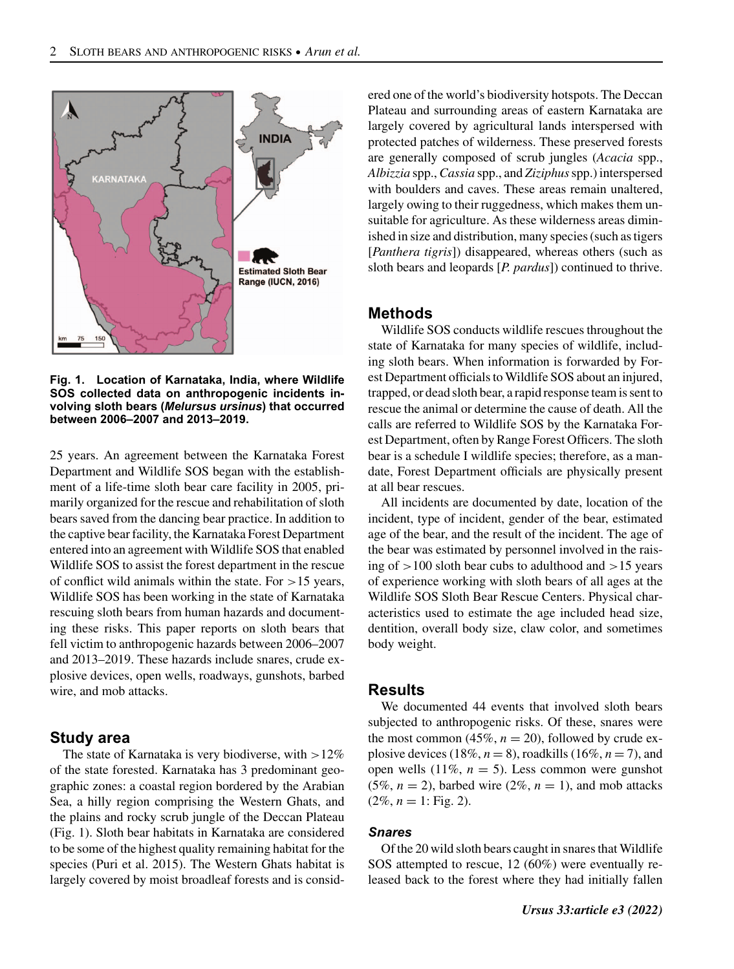

**Fig. 1. Location of Karnataka, India, where Wildlife SOS collected data on anthropogenic incidents involving sloth bears (***Melursus ursinus***) that occurred between 2006–2007 and 2013–2019.**

25 years. An agreement between the Karnataka Forest Department and Wildlife SOS began with the establishment of a life-time sloth bear care facility in 2005, primarily organized for the rescue and rehabilitation of sloth bears saved from the dancing bear practice. In addition to the captive bear facility, the Karnataka Forest Department entered into an agreement with Wildlife SOS that enabled Wildlife SOS to assist the forest department in the rescue of conflict wild animals within the state. For  $>15$  years, Wildlife SOS has been working in the state of Karnataka rescuing sloth bears from human hazards and documenting these risks. This paper reports on sloth bears that fell victim to anthropogenic hazards between 2006–2007 and 2013–2019. These hazards include snares, crude explosive devices, open wells, roadways, gunshots, barbed wire, and mob attacks.

## **Study area**

The state of Karnataka is very biodiverse, with  $>12\%$ of the state forested. Karnataka has 3 predominant geographic zones: a coastal region bordered by the Arabian Sea, a hilly region comprising the Western Ghats, and the plains and rocky scrub jungle of the Deccan Plateau (Fig. 1). Sloth bear habitats in Karnataka are considered to be some of the highest quality remaining habitat for the species (Puri et al. 2015). The Western Ghats habitat is largely covered by moist broadleaf forests and is considered one of the world's biodiversity hotspots. The Deccan Plateau and surrounding areas of eastern Karnataka are largely covered by agricultural lands interspersed with protected patches of wilderness. These preserved forests are generally composed of scrub jungles (*Acacia* spp., *Albizzia* spp.,*Cassia* spp., and *Ziziphus*spp.) interspersed with boulders and caves. These areas remain unaltered, largely owing to their ruggedness, which makes them unsuitable for agriculture. As these wilderness areas diminished in size and distribution, many species (such as tigers [*Panthera tigris*]) disappeared, whereas others (such as sloth bears and leopards [*P. pardus*]) continued to thrive.

## **Methods**

Wildlife SOS conducts wildlife rescues throughout the state of Karnataka for many species of wildlife, including sloth bears. When information is forwarded by Forest Department officials to Wildlife SOS about an injured, trapped, or dead sloth bear, a rapid response team is sent to rescue the animal or determine the cause of death. All the calls are referred to Wildlife SOS by the Karnataka Forest Department, often by Range Forest Officers. The sloth bear is a schedule I wildlife species; therefore, as a mandate, Forest Department officials are physically present at all bear rescues.

All incidents are documented by date, location of the incident, type of incident, gender of the bear, estimated age of the bear, and the result of the incident. The age of the bear was estimated by personnel involved in the raising of >100 sloth bear cubs to adulthood and >15 years of experience working with sloth bears of all ages at the Wildlife SOS Sloth Bear Rescue Centers. Physical characteristics used to estimate the age included head size, dentition, overall body size, claw color, and sometimes body weight.

### **Results**

We documented 44 events that involved sloth bears subjected to anthropogenic risks. Of these, snares were the most common  $(45\%, n = 20)$ , followed by crude explosive devices (18%,  $n = 8$ ), roadkills (16%,  $n = 7$ ), and open wells  $(11\%, n = 5)$ . Less common were gunshot (5%,  $n = 2$ ), barbed wire (2%,  $n = 1$ ), and mob attacks  $(2\%, n = 1:$  Fig. 2).

#### *Snares*

Of the 20 wild sloth bears caught in snares that Wildlife SOS attempted to rescue, 12 (60%) were eventually released back to the forest where they had initially fallen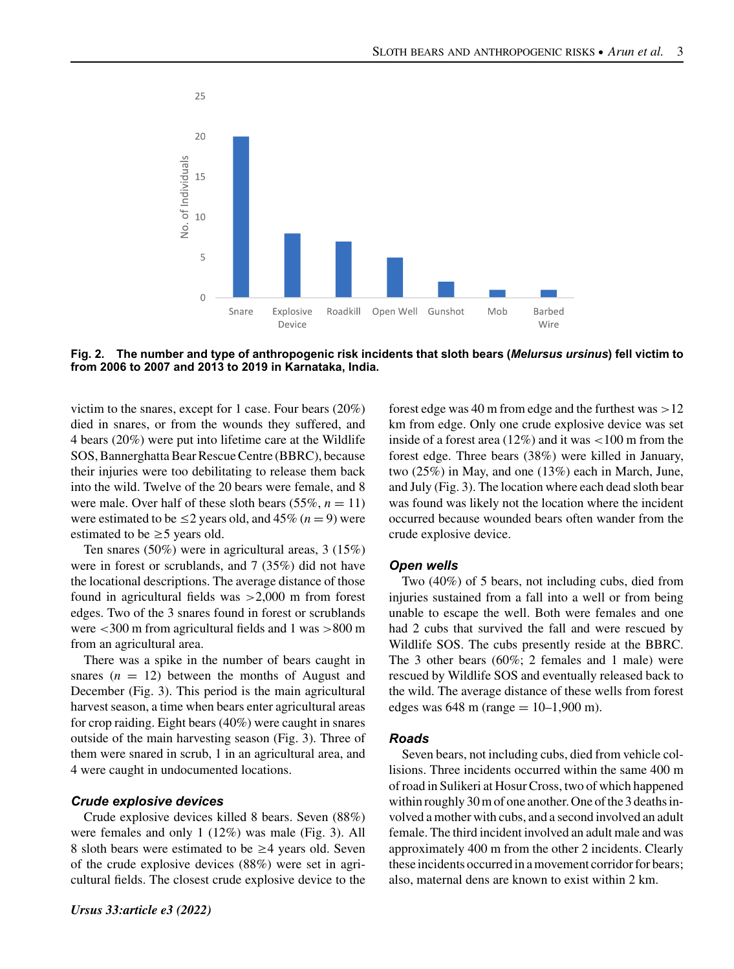

**Fig. 2. The number and type of anthropogenic risk incidents that sloth bears (***Melursus ursinus***) fell victim to from 2006 to 2007 and 2013 to 2019 in Karnataka, India.**

victim to the snares, except for 1 case. Four bears (20%) died in snares, or from the wounds they suffered, and 4 bears (20%) were put into lifetime care at the Wildlife SOS, Bannerghatta Bear Rescue Centre (BBRC), because their injuries were too debilitating to release them back into the wild. Twelve of the 20 bears were female, and 8 were male. Over half of these sloth bears  $(55\%, n = 11)$ were estimated to be  $\leq$ 2 years old, and 45% (*n* = 9) were estimated to be  $\geq$  5 years old.

Ten snares (50%) were in agricultural areas, 3 (15%) were in forest or scrublands, and 7 (35%) did not have the locational descriptions. The average distance of those found in agricultural fields was >2,000 m from forest edges. Two of the 3 snares found in forest or scrublands were <300 m from agricultural fields and 1 was >800 m from an agricultural area.

There was a spike in the number of bears caught in snares  $(n = 12)$  between the months of August and December (Fig. 3). This period is the main agricultural harvest season, a time when bears enter agricultural areas for crop raiding. Eight bears (40%) were caught in snares outside of the main harvesting season (Fig. 3). Three of them were snared in scrub, 1 in an agricultural area, and 4 were caught in undocumented locations.

### *Crude explosive devices*

Crude explosive devices killed 8 bears. Seven (88%) were females and only 1 (12%) was male (Fig. 3). All 8 sloth bears were estimated to be  $\geq$  4 years old. Seven of the crude explosive devices (88%) were set in agricultural fields. The closest crude explosive device to the forest edge was 40 m from edge and the furthest was  $>12$ km from edge. Only one crude explosive device was set inside of a forest area  $(12\%)$  and it was  $\lt 100$  m from the forest edge. Three bears (38%) were killed in January, two (25%) in May, and one (13%) each in March, June, and July (Fig. 3). The location where each dead sloth bear was found was likely not the location where the incident occurred because wounded bears often wander from the crude explosive device.

#### *Open wells*

Two (40%) of 5 bears, not including cubs, died from injuries sustained from a fall into a well or from being unable to escape the well. Both were females and one had 2 cubs that survived the fall and were rescued by Wildlife SOS. The cubs presently reside at the BBRC. The 3 other bears (60%; 2 females and 1 male) were rescued by Wildlife SOS and eventually released back to the wild. The average distance of these wells from forest edges was  $648 \text{ m}$  (range  $= 10 - 1,900 \text{ m}$ ).

#### *Roads*

Seven bears, not including cubs, died from vehicle collisions. Three incidents occurred within the same 400 m of road in Sulikeri at Hosur Cross, two of which happened within roughly 30 m of one another. One of the 3 deaths involved a mother with cubs, and a second involved an adult female. The third incident involved an adult male and was approximately 400 m from the other 2 incidents. Clearly these incidents occurred in a movement corridor for bears; also, maternal dens are known to exist within 2 km.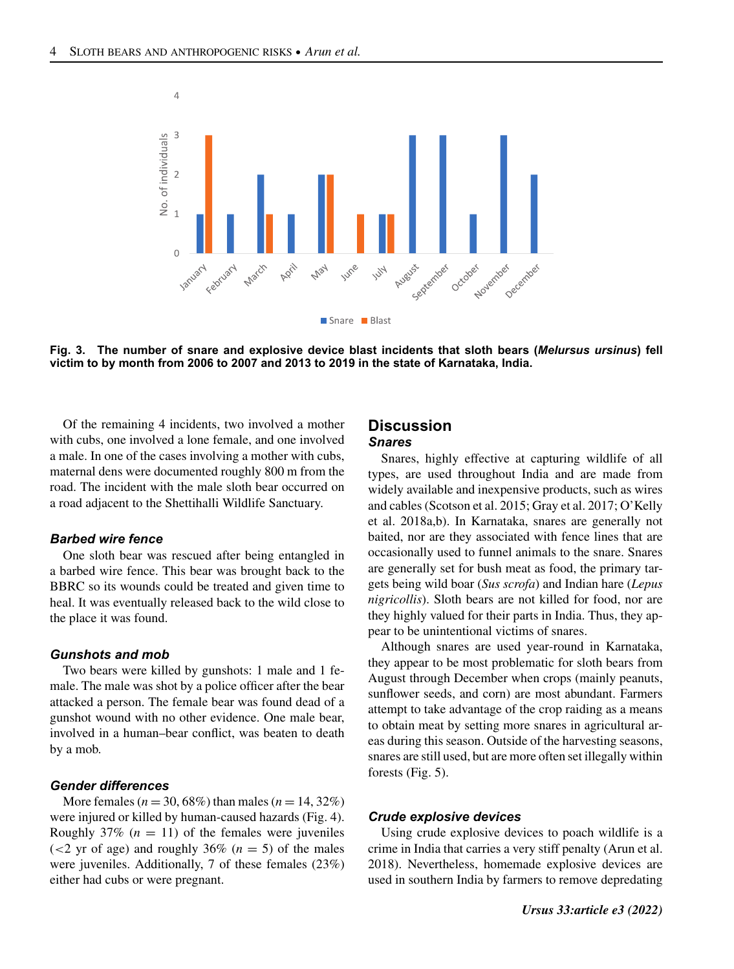

**Fig. 3. The number of snare and explosive device blast incidents that sloth bears (***Melursus ursinus***) fell victim to by month from 2006 to 2007 and 2013 to 2019 in the state of Karnataka, India.**

Of the remaining 4 incidents, two involved a mother with cubs, one involved a lone female, and one involved a male. In one of the cases involving a mother with cubs, maternal dens were documented roughly 800 m from the road. The incident with the male sloth bear occurred on a road adjacent to the Shettihalli Wildlife Sanctuary.

#### *Barbed wire fence*

One sloth bear was rescued after being entangled in a barbed wire fence. This bear was brought back to the BBRC so its wounds could be treated and given time to heal. It was eventually released back to the wild close to the place it was found.

#### *Gunshots and mob*

Two bears were killed by gunshots: 1 male and 1 female. The male was shot by a police officer after the bear attacked a person. The female bear was found dead of a gunshot wound with no other evidence. One male bear, involved in a human–bear conflict, was beaten to death by a mob.

#### *Gender differences*

More females ( $n = 30,68\%$ ) than males ( $n = 14,32\%$ ) were injured or killed by human-caused hazards (Fig. 4). Roughly  $37\%$  ( $n = 11$ ) of the females were juveniles  $(<2$  yr of age) and roughly 36% ( $n = 5$ ) of the males were juveniles. Additionally, 7 of these females (23%) either had cubs or were pregnant.

## **Discussion** *Snares*

Snares, highly effective at capturing wildlife of all types, are used throughout India and are made from widely available and inexpensive products, such as wires and cables (Scotson et al. 2015; Gray et al. 2017; O'Kelly et al. 2018a,b). In Karnataka, snares are generally not baited, nor are they associated with fence lines that are occasionally used to funnel animals to the snare. Snares are generally set for bush meat as food, the primary targets being wild boar (*Sus scrofa*) and Indian hare (*Lepus nigricollis*). Sloth bears are not killed for food, nor are they highly valued for their parts in India. Thus, they appear to be unintentional victims of snares.

Although snares are used year-round in Karnataka, they appear to be most problematic for sloth bears from August through December when crops (mainly peanuts, sunflower seeds, and corn) are most abundant. Farmers attempt to take advantage of the crop raiding as a means to obtain meat by setting more snares in agricultural areas during this season. Outside of the harvesting seasons, snares are still used, but are more often set illegally within forests (Fig. 5).

### *Crude explosive devices*

Using crude explosive devices to poach wildlife is a crime in India that carries a very stiff penalty (Arun et al. 2018). Nevertheless, homemade explosive devices are used in southern India by farmers to remove depredating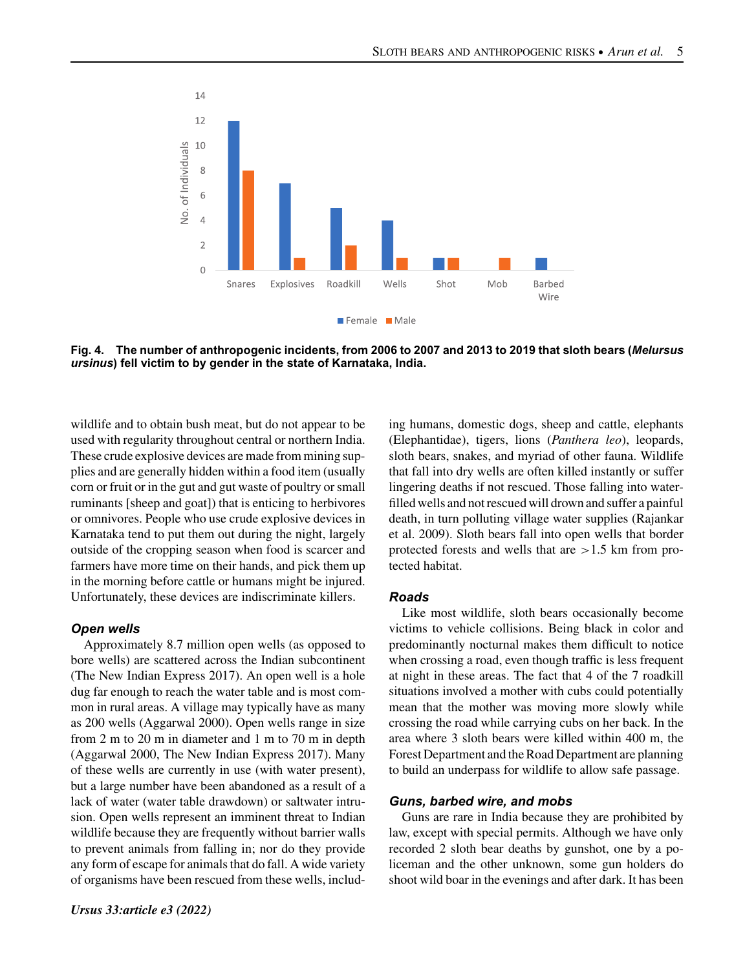

**Fig. 4. The number of anthropogenic incidents, from 2006 to 2007 and 2013 to 2019 that sloth bears (***Melursus ursinus***) fell victim to by gender in the state of Karnataka, India.**

wildlife and to obtain bush meat, but do not appear to be used with regularity throughout central or northern India. These crude explosive devices are made from mining supplies and are generally hidden within a food item (usually corn or fruit or in the gut and gut waste of poultry or small ruminants [sheep and goat]) that is enticing to herbivores or omnivores. People who use crude explosive devices in Karnataka tend to put them out during the night, largely outside of the cropping season when food is scarcer and farmers have more time on their hands, and pick them up in the morning before cattle or humans might be injured. Unfortunately, these devices are indiscriminate killers.

## *Open wells*

Approximately 8.7 million open wells (as opposed to bore wells) are scattered across the Indian subcontinent (The New Indian Express 2017). An open well is a hole dug far enough to reach the water table and is most common in rural areas. A village may typically have as many as 200 wells (Aggarwal 2000). Open wells range in size from 2 m to 20 m in diameter and 1 m to 70 m in depth (Aggarwal 2000, The New Indian Express 2017). Many of these wells are currently in use (with water present), but a large number have been abandoned as a result of a lack of water (water table drawdown) or saltwater intrusion. Open wells represent an imminent threat to Indian wildlife because they are frequently without barrier walls to prevent animals from falling in; nor do they provide any form of escape for animals that do fall. A wide variety of organisms have been rescued from these wells, including humans, domestic dogs, sheep and cattle, elephants (Elephantidae), tigers, lions (*Panthera leo*), leopards, sloth bears, snakes, and myriad of other fauna. Wildlife that fall into dry wells are often killed instantly or suffer lingering deaths if not rescued. Those falling into waterfilled wells and not rescued will drown and suffer a painful death, in turn polluting village water supplies (Rajankar et al. 2009). Sloth bears fall into open wells that border protected forests and wells that are >1.5 km from protected habitat.

## *Roads*

Like most wildlife, sloth bears occasionally become victims to vehicle collisions. Being black in color and predominantly nocturnal makes them difficult to notice when crossing a road, even though traffic is less frequent at night in these areas. The fact that 4 of the 7 roadkill situations involved a mother with cubs could potentially mean that the mother was moving more slowly while crossing the road while carrying cubs on her back. In the area where 3 sloth bears were killed within 400 m, the Forest Department and the Road Department are planning to build an underpass for wildlife to allow safe passage.

## *Guns, barbed wire, and mobs*

Guns are rare in India because they are prohibited by law, except with special permits. Although we have only recorded 2 sloth bear deaths by gunshot, one by a policeman and the other unknown, some gun holders do shoot wild boar in the evenings and after dark. It has been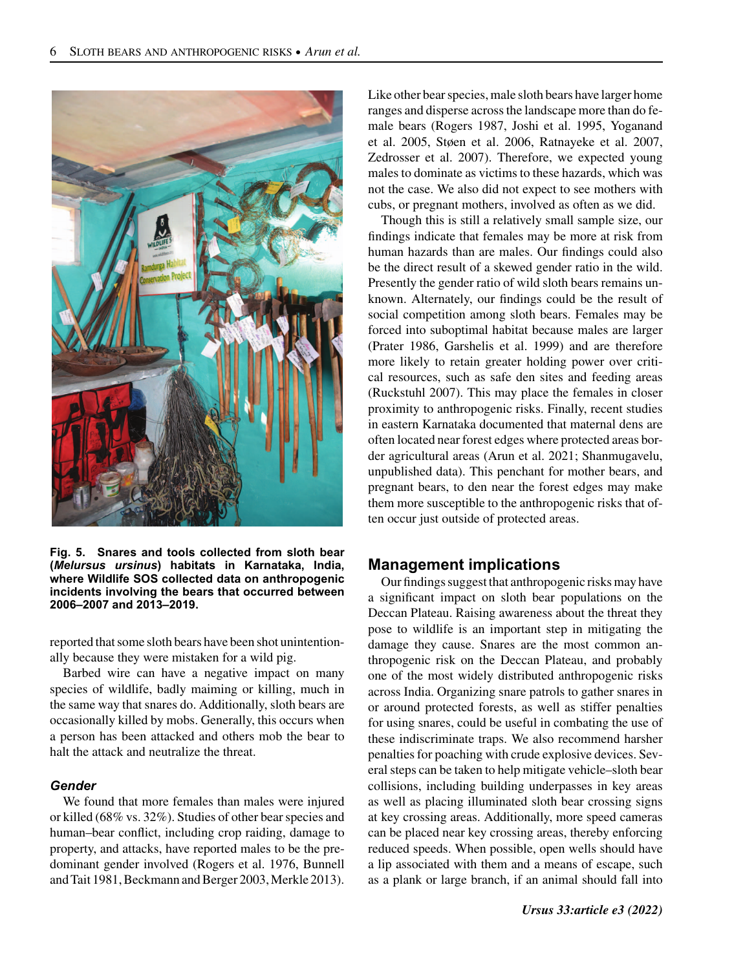

**Fig. 5. Snares and tools collected from sloth bear (***Melursus ursinus***) habitats in Karnataka, India, where Wildlife SOS collected data on anthropogenic incidents involving the bears that occurred between 2006–2007 and 2013–2019.**

reported that some sloth bears have been shot unintentionally because they were mistaken for a wild pig.

Barbed wire can have a negative impact on many species of wildlife, badly maiming or killing, much in the same way that snares do. Additionally, sloth bears are occasionally killed by mobs. Generally, this occurs when a person has been attacked and others mob the bear to halt the attack and neutralize the threat.

#### *Gender*

We found that more females than males were injured or killed (68% vs. 32%). Studies of other bear species and human–bear conflict, including crop raiding, damage to property, and attacks, have reported males to be the predominant gender involved (Rogers et al. 1976, Bunnell and Tait 1981, Beckmann and Berger 2003, Merkle 2013).

Like other bear species, male sloth bears have larger home ranges and disperse across the landscape more than do female bears (Rogers 1987, Joshi et al. 1995, Yoganand et al. 2005, Støen et al. 2006, Ratnayeke et al. 2007, Zedrosser et al. 2007). Therefore, we expected young males to dominate as victims to these hazards, which was not the case. We also did not expect to see mothers with cubs, or pregnant mothers, involved as often as we did.

Though this is still a relatively small sample size, our findings indicate that females may be more at risk from human hazards than are males. Our findings could also be the direct result of a skewed gender ratio in the wild. Presently the gender ratio of wild sloth bears remains unknown. Alternately, our findings could be the result of social competition among sloth bears. Females may be forced into suboptimal habitat because males are larger (Prater 1986, Garshelis et al. 1999) and are therefore more likely to retain greater holding power over critical resources, such as safe den sites and feeding areas (Ruckstuhl 2007). This may place the females in closer proximity to anthropogenic risks. Finally, recent studies in eastern Karnataka documented that maternal dens are often located near forest edges where protected areas border agricultural areas (Arun et al. 2021; Shanmugavelu, unpublished data). This penchant for mother bears, and pregnant bears, to den near the forest edges may make them more susceptible to the anthropogenic risks that often occur just outside of protected areas.

## **Management implications**

Our findings suggest that anthropogenic risks may have a significant impact on sloth bear populations on the Deccan Plateau. Raising awareness about the threat they pose to wildlife is an important step in mitigating the damage they cause. Snares are the most common anthropogenic risk on the Deccan Plateau, and probably one of the most widely distributed anthropogenic risks across India. Organizing snare patrols to gather snares in or around protected forests, as well as stiffer penalties for using snares, could be useful in combating the use of these indiscriminate traps. We also recommend harsher penalties for poaching with crude explosive devices. Several steps can be taken to help mitigate vehicle–sloth bear collisions, including building underpasses in key areas as well as placing illuminated sloth bear crossing signs at key crossing areas. Additionally, more speed cameras can be placed near key crossing areas, thereby enforcing reduced speeds. When possible, open wells should have a lip associated with them and a means of escape, such as a plank or large branch, if an animal should fall into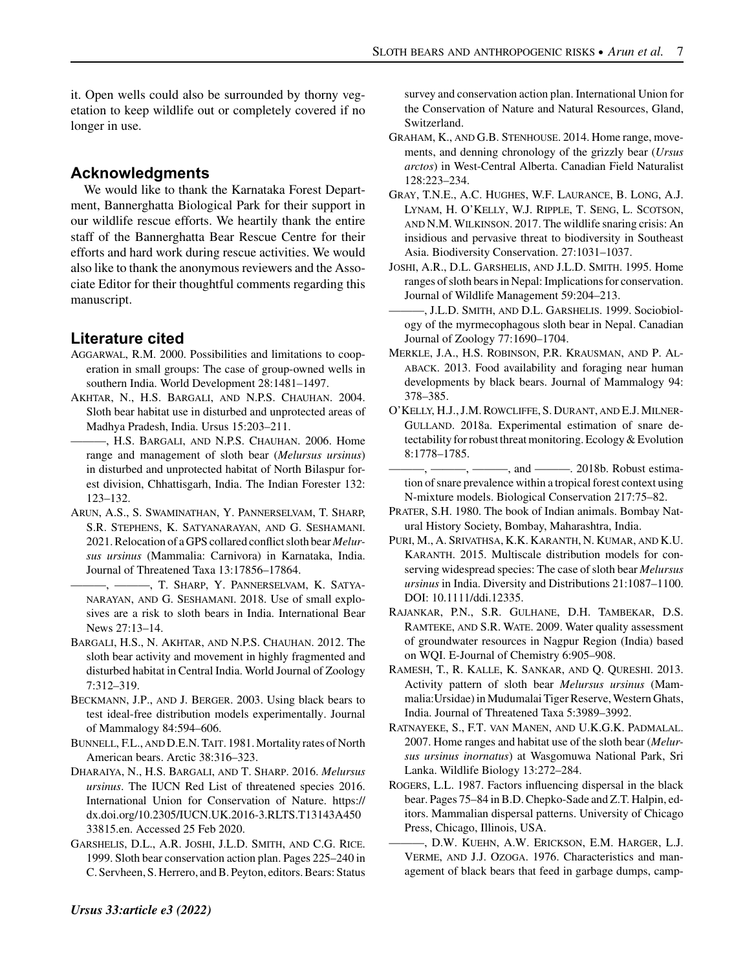it. Open wells could also be surrounded by thorny vegetation to keep wildlife out or completely covered if no longer in use.

# **Acknowledgments**

We would like to thank the Karnataka Forest Department, Bannerghatta Biological Park for their support in our wildlife rescue efforts. We heartily thank the entire staff of the Bannerghatta Bear Rescue Centre for their efforts and hard work during rescue activities. We would also like to thank the anonymous reviewers and the Associate Editor for their thoughtful comments regarding this manuscript.

# **Literature cited**

- AGGARWAL, R.M. 2000. Possibilities and limitations to cooperation in small groups: The case of group-owned wells in southern India. World Development 28:1481–1497.
- AKHTAR, N., H.S. BARGALI, AND N.P.S. CHAUHAN. 2004. Sloth bear habitat use in disturbed and unprotected areas of Madhya Pradesh, India. Ursus 15:203–211.
	- ———, H.S. BARGALI, AND N.P.S. CHAUHAN. 2006. Home range and management of sloth bear (*Melursus ursinus*) in disturbed and unprotected habitat of North Bilaspur forest division, Chhattisgarh, India. The Indian Forester 132: 123–132.
- ARUN, A.S., S. SWAMINATHAN, Y. PANNERSELVAM, T. SHARP, S.R. STEPHENS, K. SATYANARAYAN, AND G. SESHAMANI. 2021. Relocation of a GPS collared conflict sloth bear *Melursus ursinus* (Mammalia: Carnivora) in Karnataka, India. Journal of Threatened Taxa 13:17856–17864.
- ———, ———, T. SHARP, Y. PANNERSELVAM, K. SATYA-NARAYAN, AND G. SESHAMANI. 2018. Use of small explosives are a risk to sloth bears in India. International Bear News 27:13–14.
- BARGALI, H.S., N. AKHTAR, AND N.P.S. CHAUHAN. 2012. The sloth bear activity and movement in highly fragmented and disturbed habitat in Central India. World Journal of Zoology 7:312–319.
- BECKMANN, J.P., AND J. BERGER. 2003. Using black bears to test ideal-free distribution models experimentally. Journal of Mammalogy 84:594–606.
- BUNNELL, F.L., AND D.E.N. TAIT. 1981.Mortality rates of North American bears. Arctic 38:316–323.
- DHARAIYA, N., H.S. BARGALI, AND T. SHARP. 2016. *Melursus ursinus*. The IUCN Red List of threatened species 2016. International Union for Conservation of Nature. https:// dx.doi.org/10.2305/IUCN.UK.2016-3.RLTS.T13143A450 33815.en. Accessed 25 Feb 2020.
- GARSHELIS, D.L., A.R. JOSHI, J.L.D. SMITH, AND C.G. RICE. 1999. Sloth bear conservation action plan. Pages 225–240 in C. Servheen, S. Herrero, and B. Peyton, editors. Bears: Status
- GRAHAM, K., AND G.B. STENHOUSE. 2014. Home range, movements, and denning chronology of the grizzly bear (*Ursus arctos*) in West-Central Alberta. Canadian Field Naturalist 128:223–234.
- GRAY, T.N.E., A.C. HUGHES, W.F. LAURANCE, B. LONG, A.J. LYNAM, H. O'KELLY, W.J. RIPPLE, T. SENG, L. SCOTSON, AND N.M. WILKINSON. 2017. The wildlife snaring crisis: An insidious and pervasive threat to biodiversity in Southeast Asia. Biodiversity Conservation. 27:1031–1037.
- JOSHI, A.R., D.L. GARSHELIS, AND J.L.D. SMITH. 1995. Home ranges of sloth bears in Nepal: Implications for conservation. Journal of Wildlife Management 59:204–213.
- ———, J.L.D. SMITH, AND D.L. GARSHELIS. 1999. Sociobiology of the myrmecophagous sloth bear in Nepal. Canadian Journal of Zoology 77:1690–1704.
- MERKLE, J.A., H.S. ROBINSON, P.R. KRAUSMAN, AND P. AL-ABACK. 2013. Food availability and foraging near human developments by black bears. Journal of Mammalogy 94: 378–385.
- O'KELLY, H.J., J.M. ROWCLIFFE, S. DURANT, AND E.J. MILNER-GULLAND. 2018a. Experimental estimation of snare detectability for robust threat monitoring. Ecology & Evolution 8:1778–1785.
- $-$ ,  $-$ , and  $-$  2018b. Robust estimation of snare prevalence within a tropical forest context using N-mixture models. Biological Conservation 217:75–82.
- PRATER, S.H. 1980. The book of Indian animals. Bombay Natural History Society, Bombay, Maharashtra, India.
- PURI, M., A. SRIVATHSA, K.K. KARANTH, N. KUMAR, AND K.U. KARANTH. 2015. Multiscale distribution models for conserving widespread species: The case of sloth bear *Melursus ursinus* in India. Diversity and Distributions 21:1087–1100. DOI: 10.1111/ddi.12335.
- RAJANKAR, P.N., S.R. GULHANE, D.H. TAMBEKAR, D.S. RAMTEKE, AND S.R. WATE. 2009. Water quality assessment of groundwater resources in Nagpur Region (India) based on WQI. E-Journal of Chemistry 6:905–908.
- RAMESH, T., R. KALLE, K. SANKAR, AND Q. QURESHI. 2013. Activity pattern of sloth bear *Melursus ursinus* (Mammalia: Ursidae) in Mudumalai Tiger Reserve, Western Ghats, India. Journal of Threatened Taxa 5:3989–3992.
- RATNAYEKE, S., F.T. VAN MANEN, AND U.K.G.K. PADMALAL. 2007. Home ranges and habitat use of the sloth bear (*Melursus ursinus inornatus*) at Wasgomuwa National Park, Sri Lanka. Wildlife Biology 13:272–284.
- ROGERS, L.L. 1987. Factors influencing dispersal in the black bear. Pages 75–84 in B.D. Chepko-Sade and Z.T. Halpin, editors. Mammalian dispersal patterns. University of Chicago Press, Chicago, Illinois, USA.
- ———, D.W. KUEHN, A.W. ERICKSON, E.M. HARGER, L.J. VERME, AND J.J. OZOGA. 1976. Characteristics and management of black bears that feed in garbage dumps, camp-